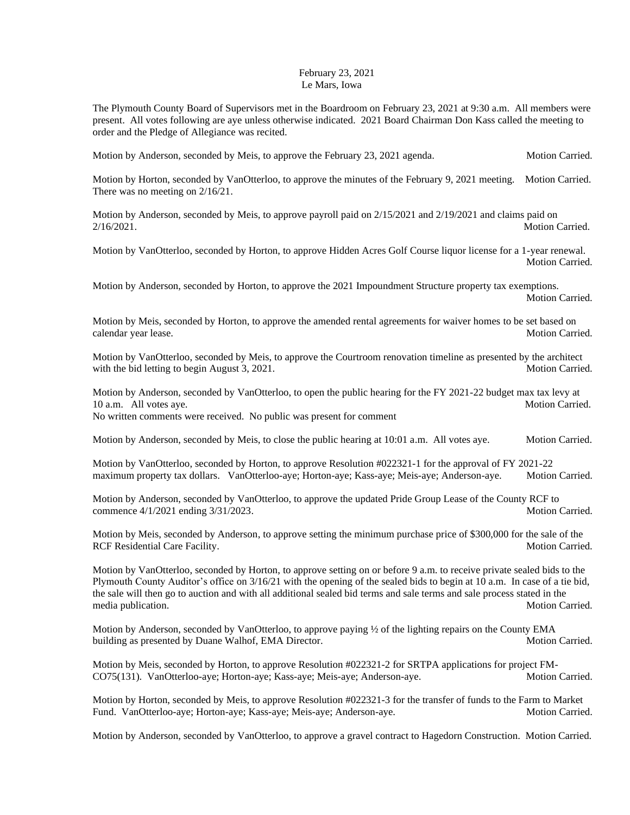## February 23, 2021 Le Mars, Iowa

The Plymouth County Board of Supervisors met in the Boardroom on February 23, 2021 at 9:30 a.m. All members were present. All votes following are aye unless otherwise indicated. 2021 Board Chairman Don Kass called the meeting to order and the Pledge of Allegiance was recited.

Motion by Anderson, seconded by Meis, to approve the February 23, 2021 agenda. Motion Carried.

Motion by Horton, seconded by VanOtterloo, to approve the minutes of the February 9, 2021 meeting. Motion Carried. There was no meeting on 2/16/21.

Motion by Anderson, seconded by Meis, to approve payroll paid on 2/15/2021 and 2/19/2021 and claims paid on 2/16/2021. Motion Carried.

Motion by VanOtterloo, seconded by Horton, to approve Hidden Acres Golf Course liquor license for a 1-year renewal. Motion Carried.

Motion by Anderson, seconded by Horton, to approve the 2021 Impoundment Structure property tax exemptions. Motion Carried.

Motion by Meis, seconded by Horton, to approve the amended rental agreements for waiver homes to be set based on calendar year lease. Motion Carried. A state of the state of the state of the Motion Carried.

Motion by VanOtterloo, seconded by Meis, to approve the Courtroom renovation timeline as presented by the architect with the bid letting to begin August 3, 2021. Motion Carried.

Motion by Anderson, seconded by VanOtterloo, to open the public hearing for the FY 2021-22 budget max tax levy at 10 a.m. All votes aye. Motion Carried. No written comments were received. No public was present for comment

Motion by Anderson, seconded by Meis, to close the public hearing at 10:01 a.m. All votes aye. Motion Carried.

Motion by VanOtterloo, seconded by Horton, to approve Resolution #022321-1 for the approval of FY 2021-22 maximum property tax dollars. VanOtterloo-aye; Horton-aye; Kass-aye; Meis-aye; Anderson-aye. Motion Carried.

Motion by Anderson, seconded by VanOtterloo, to approve the updated Pride Group Lease of the County RCF to commence  $4/1/2021$  ending  $3/31/2023$ . Motion Carried.

Motion by Meis, seconded by Anderson, to approve setting the minimum purchase price of \$300,000 for the sale of the RCF Residential Care Facility. And the state of the state of the state of the Motion Carried.

Motion by VanOtterloo, seconded by Horton, to approve setting on or before 9 a.m. to receive private sealed bids to the Plymouth County Auditor's office on 3/16/21 with the opening of the sealed bids to begin at 10 a.m. In case of a tie bid, the sale will then go to auction and with all additional sealed bid terms and sale terms and sale process stated in the media publication. Motion Carried. Motion Carried.

Motion by Anderson, seconded by VanOtterloo, to approve paying ½ of the lighting repairs on the County EMA building as presented by Duane Walhof, EMA Director. Motion Carried. Motion Carried.

Motion by Meis, seconded by Horton, to approve Resolution #022321-2 for SRTPA applications for project FM-CO75(131). VanOtterloo-aye; Horton-aye; Kass-aye; Meis-aye; Anderson-aye. Motion Carried.

Motion by Horton, seconded by Meis, to approve Resolution #022321-3 for the transfer of funds to the Farm to Market Fund. VanOtterloo-aye; Horton-aye; Kass-aye; Meis-aye; Anderson-aye. Motion Carried. Motion Carried.

Motion by Anderson, seconded by VanOtterloo, to approve a gravel contract to Hagedorn Construction. Motion Carried.